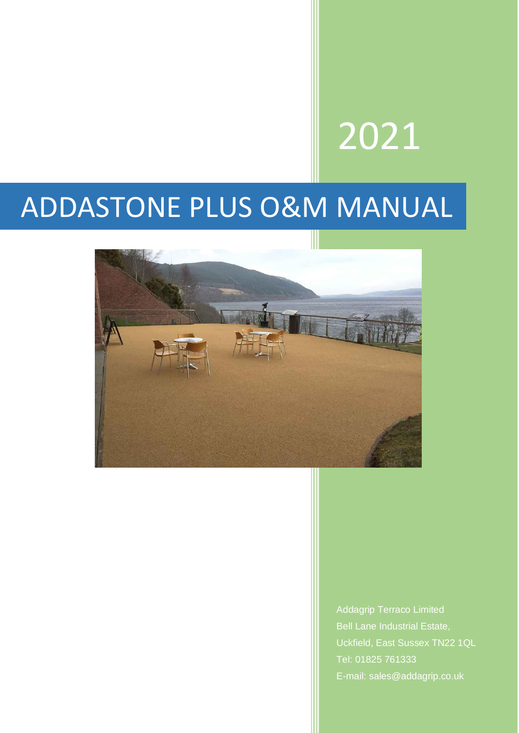# 2021

# ADDASTONE PLUS O&M MANUAL



Addagrip Terraco Limited Bell Lane Industrial Estate, Uckfield, East Sussex TN22 1QL Tel: 01825 761333 E-mail: sales@addagrip.co.uk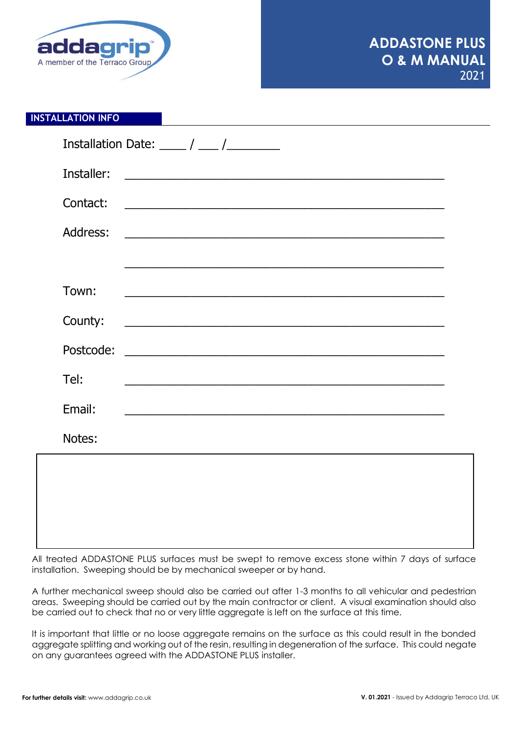

### **INSTALLATION INFO**

|            | Installation Date: _____ / ____ /_________                                                                             |  |
|------------|------------------------------------------------------------------------------------------------------------------------|--|
| Installer: |                                                                                                                        |  |
| Contact:   |                                                                                                                        |  |
| Address:   |                                                                                                                        |  |
|            |                                                                                                                        |  |
| Town:      | <u> 1989 - Johann John Harry Harry Harry Harry Harry Harry Harry Harry Harry Harry Harry Harry Harry Harry Harry H</u> |  |
| County:    | <u> 2000 - Jan James James James James James James James James James James James James James James James James J</u>   |  |
| Postcode:  |                                                                                                                        |  |
| Tel:       | <u> 1989 - Andrea Santa Andrea Santa Andrea Santa Andrea Santa Andrea Santa Andrea Santa Andrea Santa Andrea San</u>   |  |
| Email:     | <u> 1990 - Johann Barn, fransk politik (d. 1980)</u>                                                                   |  |
| Notes:     |                                                                                                                        |  |

All treated ADDASTONE PLUS surfaces must be swept to remove excess stone within 7 days of surface installation. Sweeping should be by mechanical sweeper or by hand.

A further mechanical sweep should also be carried out after 1-3 months to all vehicular and pedestrian areas. Sweeping should be carried out by the main contractor or client. A visual examination should also be carried out to check that no or very little aggregate is left on the surface at this time.

It is important that little or no loose aggregate remains on the surface as this could result in the bonded aggregate splitting and working out of the resin, resulting in degeneration of the surface. This could negate on any guarantees agreed with the ADDASTONE PLUS installer.